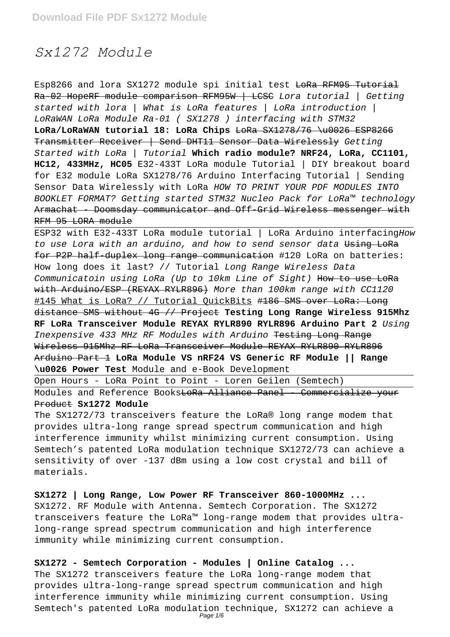# *Sx1272 Module*

Esp8266 and lora SX1272 module spi initial test LoRa RFM95 Tutorial Ra-02 HopeRF module comparison RFM95W | LCSC Lora tutorial | Getting started with lora | What is LoRa features | LoRa introduction | LoRaWAN LoRa Module Ra-01 ( SX1278 ) interfacing with STM32 LoRa/LoRaWAN tutorial 18: LoRa Chips LoRa SX1278/76 \u0026 ESP8266 Transmitter Receiver | Send DHT11 Sensor Data Wirelessly Getting Started with LoRa | Tutorial **Which radio module? NRF24, LoRa, CC1101, HC12, 433MHz, HC05** E32-433T LoRa module Tutorial | DIY breakout board for E32 module LoRa SX1278/76 Arduino Interfacing Tutorial | Sending Sensor Data Wirelessly with LoRa HOW TO PRINT YOUR PDF MODULES INTO BOOKLET FORMAT? Getting started STM32 Nucleo Pack for LoRa™ technology Armachat - Doomsday communicator and Off-Grid Wireless messenger with RFM 95 LORA module

ESP32 with E32-433T LoRa module tutorial | LoRa Arduino interfacingHow to use Lora with an arduino, and how to send sensor data Using LoRa for P2P half-duplex long range communication #120 LoRa on batteries: How long does it last? // Tutorial Long Range Wireless Data Communicatoin using LoRa (Up to 10km Line of Sight) How to use LoRa with Arduino/ESP (REYAX RYLR896) More than 100km range with CC1120 #145 What is LoRa? // Tutorial QuickBits #186 SMS over LoRa: Long distance SMS without 4G // Project **Testing Long Range Wireless 915Mhz RF LoRa Transceiver Module REYAX RYLR890 RYLR896 Arduino Part 2** Using Inexpensive 433 MHz RF Modules with Arduino Testing Long Range Wireless 915Mhz RF LoRa Transceiver Module REYAX RYLR890 RYLR896 Arduino Part 1 **LoRa Module VS nRF24 VS Generic RF Module || Range \u0026 Power Test** Module and e-Book Development

Open Hours - LoRa Point to Point - Loren Geilen (Semtech)

Modules and Reference Books<del>LoRa Alliance Panel - Commercialize your</del> Product **Sx1272 Module**

The SX1272/73 transceivers feature the LoRa® long range modem that provides ultra-long range spread spectrum communication and high interference immunity whilst minimizing current consumption. Using Semtech's patented LoRa modulation technique SX1272/73 can achieve a sensitivity of over -137 dBm using a low cost crystal and bill of materials.

**SX1272 | Long Range, Low Power RF Transceiver 860-1000MHz ...** SX1272. RF Module with Antenna. Semtech Corporation. The SX1272 transceivers feature the LoRa™ long-range modem that provides ultralong-range spread spectrum communication and high interference immunity while minimizing current consumption.

**SX1272 - Semtech Corporation - Modules | Online Catalog ...** The SX1272 transceivers feature the LoRa long-range modem that provides ultra-long-range spread spectrum communication and high interference immunity while minimizing current consumption. Using Semtech's patented LoRa modulation technique, SX1272 can achieve a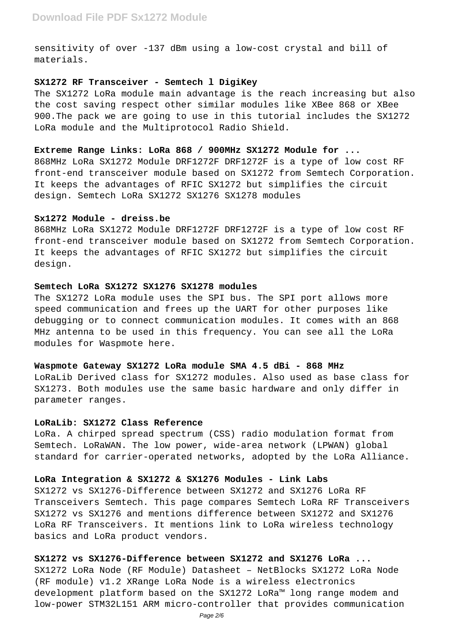sensitivity of over -137 dBm using a low-cost crystal and bill of materials.

### **SX1272 RF Transceiver - Semtech l DigiKey**

The SX1272 LoRa module main advantage is the reach increasing but also the cost saving respect other similar modules like XBee 868 or XBee 900.The pack we are going to use in this tutorial includes the SX1272 LoRa module and the Multiprotocol Radio Shield.

### **Extreme Range Links: LoRa 868 / 900MHz SX1272 Module for ...**

868MHz LoRa SX1272 Module DRF1272F DRF1272F is a type of low cost RF front-end transceiver module based on SX1272 from Semtech Corporation. It keeps the advantages of RFIC SX1272 but simplifies the circuit design. Semtech LoRa SX1272 SX1276 SX1278 modules

### **Sx1272 Module - dreiss.be**

868MHz LoRa SX1272 Module DRF1272F DRF1272F is a type of low cost RF front-end transceiver module based on SX1272 from Semtech Corporation. It keeps the advantages of RFIC SX1272 but simplifies the circuit design.

# **Semtech LoRa SX1272 SX1276 SX1278 modules**

The SX1272 LoRa module uses the SPI bus. The SPI port allows more speed communication and frees up the UART for other purposes like debugging or to connect communication modules. It comes with an 868 MHz antenna to be used in this frequency. You can see all the LoRa modules for Waspmote here.

### **Waspmote Gateway SX1272 LoRa module SMA 4.5 dBi - 868 MHz**

LoRaLib Derived class for SX1272 modules. Also used as base class for SX1273. Both modules use the same basic hardware and only differ in parameter ranges.

### **LoRaLib: SX1272 Class Reference**

LoRa. A chirped spread spectrum (CSS) radio modulation format from Semtech. LoRaWAN. The low power, wide-area network (LPWAN) global standard for carrier-operated networks, adopted by the LoRa Alliance.

# **LoRa Integration & SX1272 & SX1276 Modules - Link Labs**

SX1272 vs SX1276-Difference between SX1272 and SX1276 LoRa RF Transceivers Semtech. This page compares Semtech LoRa RF Transceivers SX1272 vs SX1276 and mentions difference between SX1272 and SX1276 LoRa RF Transceivers. It mentions link to LoRa wireless technology basics and LoRa product vendors.

# **SX1272 vs SX1276-Difference between SX1272 and SX1276 LoRa ...**

SX1272 LoRa Node (RF Module) Datasheet – NetBlocks SX1272 LoRa Node (RF module) v1.2 XRange LoRa Node is a wireless electronics development platform based on the SX1272 LoRa™ long range modem and low-power STM32L151 ARM micro-controller that provides communication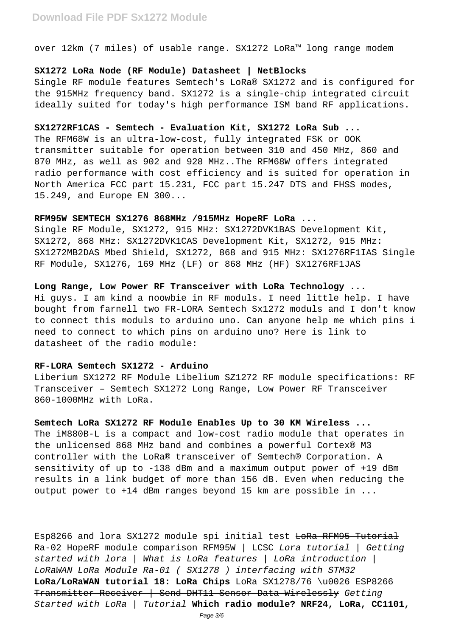over 12km (7 miles) of usable range. SX1272 LoRa™ long range modem

# **SX1272 LoRa Node (RF Module) Datasheet | NetBlocks**

Single RF module features Semtech's LoRa® SX1272 and is configured for the 915MHz frequency band. SX1272 is a single-chip integrated circuit ideally suited for today's high performance ISM band RF applications.

# **SX1272RF1CAS - Semtech - Evaluation Kit, SX1272 LoRa Sub ...**

The RFM68W is an ultra-low-cost, fully integrated FSK or OOK transmitter suitable for operation between 310 and 450 MHz, 860 and 870 MHz, as well as 902 and 928 MHz..The RFM68W offers integrated radio performance with cost efficiency and is suited for operation in North America FCC part 15.231, FCC part 15.247 DTS and FHSS modes, 15.249, and Europe EN 300...

# **RFM95W SEMTECH SX1276 868MHz /915MHz HopeRF LoRa ...**

Single RF Module, SX1272, 915 MHz: SX1272DVK1BAS Development Kit, SX1272, 868 MHz: SX1272DVK1CAS Development Kit, SX1272, 915 MHz: SX1272MB2DAS Mbed Shield, SX1272, 868 and 915 MHz: SX1276RF1IAS Single RF Module, SX1276, 169 MHz (LF) or 868 MHz (HF) SX1276RF1JAS

### **Long Range, Low Power RF Transceiver with LoRa Technology ...**

Hi guys. I am kind a noowbie in RF moduls. I need little help. I have bought from farnell two FR-LORA Semtech Sx1272 moduls and I don't know to connect this moduls to arduino uno. Can anyone help me which pins i need to connect to which pins on arduino uno? Here is link to datasheet of the radio module:

# **RF-LORA Semtech SX1272 - Arduino**

Liberium SX1272 RF Module Libelium SZ1272 RF module specifications: RF Transceiver – Semtech SX1272 Long Range, Low Power RF Transceiver 860-1000MHz with LoRa.

#### **Semtech LoRa SX1272 RF Module Enables Up to 30 KM Wireless ...**

The iM880B-L is a compact and low-cost radio module that operates in the unlicensed 868 MHz band and combines a powerful Cortex® M3 controller with the LoRa® transceiver of Semtech® Corporation. A sensitivity of up to -138 dBm and a maximum output power of +19 dBm results in a link budget of more than 156 dB. Even when reducing the output power to +14 dBm ranges beyond 15 km are possible in ...

Esp8266 and lora SX1272 module spi initial test LoRa RFM95 Tutorial Ra-02 HopeRF module comparison RFM95W | LCSC Lora tutorial | Getting started with lora | What is LoRa features | LoRa introduction | LoRaWAN LoRa Module Ra-01 ( SX1278 ) interfacing with STM32 LoRa/LoRaWAN tutorial 18: LoRa Chips LoRa SX1278/76 \u0026 ESP8266 Transmitter Receiver | Send DHT11 Sensor Data Wirelessly Getting Started with LoRa | Tutorial **Which radio module? NRF24, LoRa, CC1101,**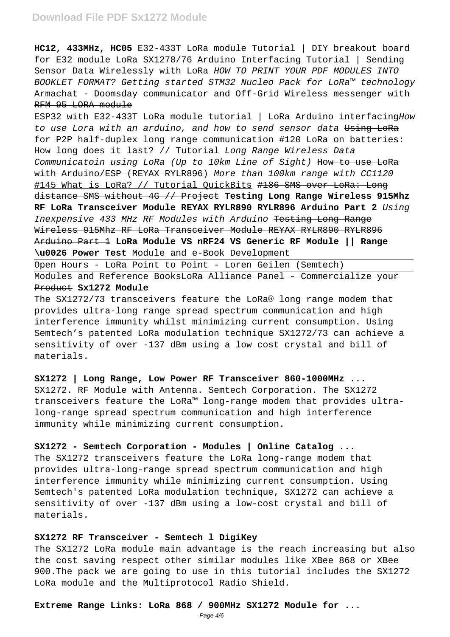# **Download File PDF Sx1272 Module**

**HC12, 433MHz, HC05** E32-433T LoRa module Tutorial | DIY breakout board for E32 module LoRa SX1278/76 Arduino Interfacing Tutorial | Sending Sensor Data Wirelessly with LoRa HOW TO PRINT YOUR PDF MODULES INTO BOOKLET FORMAT? Getting started STM32 Nucleo Pack for LoRa™ technology Armachat - Doomsday communicator and Off-Grid Wireless messenger with RFM 95 LORA module

ESP32 with E32-433T LoRa module tutorial | LoRa Arduino interfacingHow to use Lora with an arduino, and how to send sensor data Using LoRa for P2P half-duplex long range communication #120 LoRa on batteries: How long does it last? // Tutorial Long Range Wireless Data Communicatoin using LoRa (Up to 10km Line of Sight) How to use LoRa with Arduino/ESP (REYAX RYLR896) More than 100km range with CC1120 #145 What is LoRa? // Tutorial OuickBits #186 SMS over LoRa: Long distance SMS without 4G // Project **Testing Long Range Wireless 915Mhz RF LoRa Transceiver Module REYAX RYLR890 RYLR896 Arduino Part 2** Using Inexpensive 433 MHz RF Modules with Arduino Testing Long Range Wireless 915Mhz RF LoRa Transceiver Module REYAX RYLR890 RYLR896 Arduino Part 1 **LoRa Module VS nRF24 VS Generic RF Module || Range \u0026 Power Test** Module and e-Book Development

Open Hours - LoRa Point to Point - Loren Geilen (Semtech)

Modules and Reference BooksLoRa Alliance Panel - Commercialize your Product **Sx1272 Module**

The SX1272/73 transceivers feature the LoRa® long range modem that provides ultra-long range spread spectrum communication and high interference immunity whilst minimizing current consumption. Using Semtech's patented LoRa modulation technique SX1272/73 can achieve a sensitivity of over -137 dBm using a low cost crystal and bill of materials.

# **SX1272 | Long Range, Low Power RF Transceiver 860-1000MHz ...**

SX1272. RF Module with Antenna. Semtech Corporation. The SX1272 transceivers feature the LoRa™ long-range modem that provides ultralong-range spread spectrum communication and high interference immunity while minimizing current consumption.

# **SX1272 - Semtech Corporation - Modules | Online Catalog ...**

The SX1272 transceivers feature the LoRa long-range modem that provides ultra-long-range spread spectrum communication and high interference immunity while minimizing current consumption. Using Semtech's patented LoRa modulation technique, SX1272 can achieve a sensitivity of over -137 dBm using a low-cost crystal and bill of materials.

#### **SX1272 RF Transceiver - Semtech l DigiKey**

The SX1272 LoRa module main advantage is the reach increasing but also the cost saving respect other similar modules like XBee 868 or XBee 900.The pack we are going to use in this tutorial includes the SX1272 LoRa module and the Multiprotocol Radio Shield.

# **Extreme Range Links: LoRa 868 / 900MHz SX1272 Module for ...**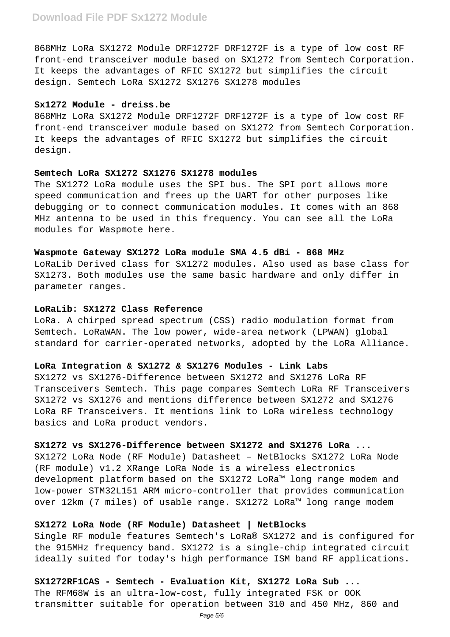868MHz LoRa SX1272 Module DRF1272F DRF1272F is a type of low cost RF front-end transceiver module based on SX1272 from Semtech Corporation. It keeps the advantages of RFIC SX1272 but simplifies the circuit design. Semtech LoRa SX1272 SX1276 SX1278 modules

# **Sx1272 Module - dreiss.be**

868MHz LoRa SX1272 Module DRF1272F DRF1272F is a type of low cost RF front-end transceiver module based on SX1272 from Semtech Corporation. It keeps the advantages of RFIC SX1272 but simplifies the circuit design.

### **Semtech LoRa SX1272 SX1276 SX1278 modules**

The SX1272 LoRa module uses the SPI bus. The SPI port allows more speed communication and frees up the UART for other purposes like debugging or to connect communication modules. It comes with an 868 MHz antenna to be used in this frequency. You can see all the LoRa modules for Waspmote here.

# **Waspmote Gateway SX1272 LoRa module SMA 4.5 dBi - 868 MHz**

LoRaLib Derived class for SX1272 modules. Also used as base class for SX1273. Both modules use the same basic hardware and only differ in parameter ranges.

### **LoRaLib: SX1272 Class Reference**

LoRa. A chirped spread spectrum (CSS) radio modulation format from Semtech. LoRaWAN. The low power, wide-area network (LPWAN) global standard for carrier-operated networks, adopted by the LoRa Alliance.

# **LoRa Integration & SX1272 & SX1276 Modules - Link Labs**

SX1272 vs SX1276-Difference between SX1272 and SX1276 LoRa RF Transceivers Semtech. This page compares Semtech LoRa RF Transceivers SX1272 vs SX1276 and mentions difference between SX1272 and SX1276 LoRa RF Transceivers. It mentions link to LoRa wireless technology basics and LoRa product vendors.

# **SX1272 vs SX1276-Difference between SX1272 and SX1276 LoRa ...**

SX1272 LoRa Node (RF Module) Datasheet – NetBlocks SX1272 LoRa Node (RF module) v1.2 XRange LoRa Node is a wireless electronics development platform based on the SX1272 LoRa™ long range modem and low-power STM32L151 ARM micro-controller that provides communication over 12km (7 miles) of usable range. SX1272 LoRa™ long range modem

# **SX1272 LoRa Node (RF Module) Datasheet | NetBlocks**

Single RF module features Semtech's LoRa® SX1272 and is configured for the 915MHz frequency band. SX1272 is a single-chip integrated circuit ideally suited for today's high performance ISM band RF applications.

**SX1272RF1CAS - Semtech - Evaluation Kit, SX1272 LoRa Sub ...** The RFM68W is an ultra-low-cost, fully integrated FSK or OOK transmitter suitable for operation between 310 and 450 MHz, 860 and